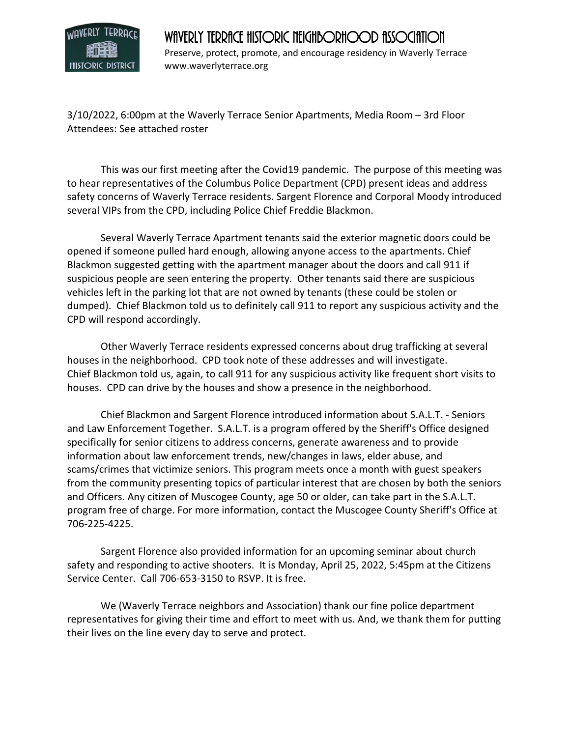

## WAVERLY TERRACE HISTORIC NEIGHBORHOOD ASSOCIATION

Preserve, protect, promote, and encourage residency in Waverly Terrace www.waverlyterrace.org

3/10/2022, 6:00pm at the Waverly Terrace Senior Apartments, Media Room – 3rd Floor Attendees: See attached roster

This was our first meeting after the Covid19 pandemic. The purpose of this meeting was to hear representatives of the Columbus Police Department (CPD) present ideas and address safety concerns of Waverly Terrace residents. Sargent Florence and Corporal Moody introduced several VIPs from the CPD, including Police Chief Freddie Blackmon.

 Several Waverly Terrace Apartment tenants said the exterior magnetic doors could be opened if someone pulled hard enough, allowing anyone access to the apartments. Chief Blackmon suggested getting with the apartment manager about the doors and call 911 if suspicious people are seen entering the property. Other tenants said there are suspicious vehicles left in the parking lot that are not owned by tenants (these could be stolen or dumped). Chief Blackmon told us to definitely call 911 to report any suspicious activity and the CPD will respond accordingly.

 Other Waverly Terrace residents expressed concerns about drug trafficking at several houses in the neighborhood. CPD took note of these addresses and will investigate. Chief Blackmon told us, again, to call 911 for any suspicious activity like frequent short visits to houses. CPD can drive by the houses and show a presence in the neighborhood.

 Chief Blackmon and Sargent Florence introduced information about S.A.L.T. - Seniors and Law Enforcement Together. S.A.L.T. is a program offered by the Sheriff's Office designed specifically for senior citizens to address concerns, generate awareness and to provide information about law enforcement trends, new/changes in laws, elder abuse, and scams/crimes that victimize seniors. This program meets once a month with guest speakers from the community presenting topics of particular interest that are chosen by both the seniors and Officers. Any citizen of Muscogee County, age 50 or older, can take part in the S.A.L.T. program free of charge. For more information, contact the Muscogee County Sheriff's Office at 706-225-4225.

 Sargent Florence also provided information for an upcoming seminar about church safety and responding to active shooters. It is Monday, April 25, 2022, 5:45pm at the Citizens Service Center. Call 706-653-3150 to RSVP. It is free.

We (Waverly Terrace neighbors and Association) thank our fine police department representatives for giving their time and effort to meet with us. And, we thank them for putting their lives on the line every day to serve and protect.